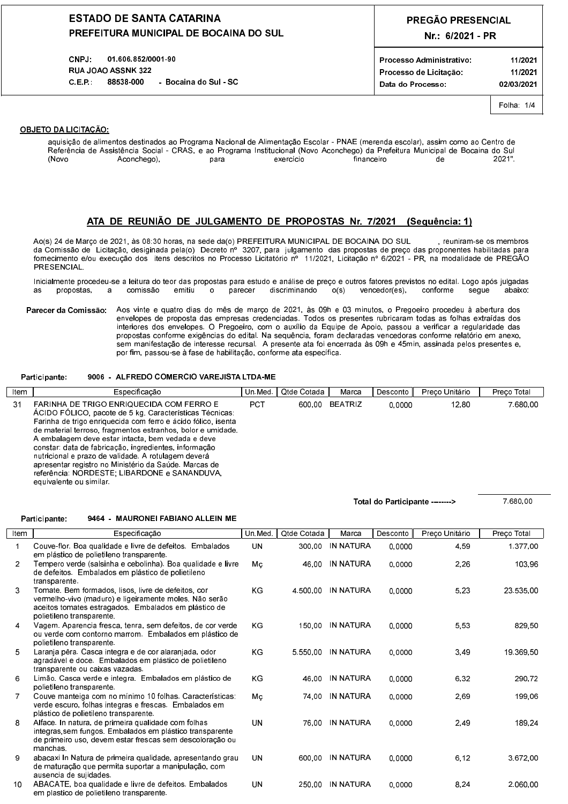### **ESTADO DE SANTA CATARINA** PREFEITURA MUNICIPAL DE BOCAINA DO SUL

01.606.852/0001-90 CNPJ: **RUA JOAO ASSNK 322** C.E.P. 88538-000 Bocaina do Sul SC

## PREGÃO PRESENCIAL Nr.: 6/2021 - PR

Folha 1/4

### **OBJETO DA LICITAÇÃO.**

 $\sqrt{2}$ 

aquisição de alimentos destinados ao Programa Nacional de Alimentação Escolar - PNAE (merenda escolar), assim como ao Centro de Referência de Assistência Social - CRAS, e ao Programa Institucional (Novo Aconchego) da Prefeitura Municipal de Bocaina do Sul Aconchego) (Novo para exercício financeiro de 2021"

### ATA DE REUNIÃO DE JULGAMENTO DE PROPOSTAS Nr. 7/2021 (Sequência: 1)

Ao(s) 24 de Março de 2021, às 08:30 horas, na sede da(o) PREFEITURA MUNICIPAL DE BOCAINA DO SUL reuniram-se os membros da Comissão de Licitação, desiginada pela(o) Decreto nº 3207, para julgamento das propostas de preço das proponentes habilitadas para fornecimento e/ou execução dos litens descritos no Processo Licitatório nº 11/2021, Licitação nº 6/2021 - PR, na modalidade de PREGÃO PRESENCIAL.

Inicialmente procedeu-se a leitura do teor das propostas para estudo e análise de preço e outros fatores previstos no edital. Logo após julgadas propostas comissão emitiu parecer discriminando ໌o(s)  $v$ encedor(es) conforme seque ് റ ahaixo as  $\overline{a}$ 

Parecer da Comissão: Aos vinte e quatro dias do mês de março de 2021, às 09h e 03 minutos, o Pregoeiro procedeu à abertura dos envelopes de proposta das empresas credenciadas. Todos os presentes rubricaram todas as folhas extraídas dos interiores dos envelopes. O Pregoeiro, com o auxílio da Equipe de Apoio, passou a verificar a regularidade das propostas conforme exigências do edital. Na sequência, foram declaradas vencedoras conforme relatório em anexo sem manifestação de interesse recursal. A presente ata foi encerrada às 09h e 45min, assinada pelos presentes e por fim, passou-se à fase de habilitação, conforme ata específica.

#### 9006 - ALFREDO COMERCIO VAREJISTA LTDA-ME Participante:

| Item | Especificação                                                                                                                                                                                                                                                                                                                                                                                                                                                                                                                              | Un Med.    | Qtde Cotada | Marca          | Desconto | Preço Unitário | Preco Total |
|------|--------------------------------------------------------------------------------------------------------------------------------------------------------------------------------------------------------------------------------------------------------------------------------------------------------------------------------------------------------------------------------------------------------------------------------------------------------------------------------------------------------------------------------------------|------------|-------------|----------------|----------|----------------|-------------|
| 31   | FARINHA DE TRIGO ENRIQUECIDA COM FERRO E<br>ÁCIDO FÓLICO, pacote de 5 kg. Características Técnicas:<br>Farinha de trigo enriquecida com ferro e ácido fólico, isenta<br>de material terroso, fragmentos estranhos, bolor e umidade.<br>A embalagem deve estar intacta, bem vedada e deve<br>constar data de fabricação, ingredientes, informação<br>nutricional e prazo de validade. A rotulagem deverá<br>apresentar registro no Ministério da Saúde, Marcas de<br>referência, NORDESTE, LIBARDONE e SANANDUVA.<br>equivalente ou similar | <b>PCT</b> | 600.00      | <b>BEATRIZ</b> | 0.0000   | 12.80          | 7 680 00    |

Total do Participante -------->

7.680,00

#### Participante: 9464 - MAURONEI FABIANO ALLEIN ME

| Item           | Especificação                                                                                                                                                                                      | Un Med.   | Qtde Cotada | Marca     | Desconto | Preço Unitário | Preço Total |
|----------------|----------------------------------------------------------------------------------------------------------------------------------------------------------------------------------------------------|-----------|-------------|-----------|----------|----------------|-------------|
| 1              | Couve flor Boa qualidade e livre de defeitos. Embalados<br>em plástico de polietileno transparente.                                                                                                | <b>UN</b> | 300.00      | IN NATURA | 0.0000   | 4.59           | 1.377.00    |
| $\overline{2}$ | Tempero verde (salsinha e cebolinha). Boa qualidade e livre<br>de defeitos Embalados em plástico de polietileno<br>transparente.                                                                   | Mc        | 46.00       | IN NATURA | 0.0000   | 2,26           | 103.96      |
| 3              | Tomate. Bem formados, lisos, livre de defeitos, cor<br>vermelho-vivo (maduro) e ligeiramente moles. Não serão<br>aceitos tomates estragados. Embalados em plástico de<br>polietileno transparente. | KG        | 4 500 00    | IN NATURA | 0.0000   | 5.23           | 23.535,00   |
| 4              | Vagem Aparencia fresca, tenra, sem defeitos, de cor verde<br>ou verde com contorno marrom Embalados em plástico de<br>polietileno transparente.                                                    | KG        | 150.00      | IN NATURA | 0.0000   | 5.53           | 829.50      |
| 5              | Laranja pêra. Casca integra e de cor alaranjada, odor<br>agradável e doce. Embalados em plástico de polietileno<br>transparente ou caixas vazadas.                                                 | <b>KG</b> | 5 5 5 0 0 0 | IN NATURA | 0.0000   | 3.49           | 19 369 50   |
| 6              | Limão. Casca verde e integra. Embalados em plástico de<br>polietileno transparente.                                                                                                                | KG        | 46.00       | IN NATURA | 0.0000   | 6.32           | 290.72      |
|                | Couve manteiga com no mínimo 10 folhas. Características:<br>verde escuro, folhas integras e frescas. Embalados em<br>plástico de polietileno transparente.                                         | Mc        | 74 00       | IN NATURA | 0.0000   | 2.69           | 199,06      |
| 8              | Alface. In natura, de primeira qualidade com folhas<br>integras sem fungos. Embalados em plástico transparente<br>de primeiro uso, devem estar frescas sem descoloração ou<br>manchas              | UN        | 76.00       | IN NATURA | 0.0000   | 2.49           | 189 24      |
| 9              | abacaxi in Natura de primeira qualidade, apresentando grau<br>de maturação que permita suportar a manipulação, com<br>ausencia de sujidades.                                                       | <b>UN</b> | 600.00      | IN NATURA | 0.0000   | 6.12           | 3 672 00    |
| 10             | ABACATE, boa qualidade e livre de defeitos. Embalados<br>em plastico de polietileno transparente.                                                                                                  | UN        | 250.00      | IN NATURA | 0.0000   | 8.24           | 2.060.00    |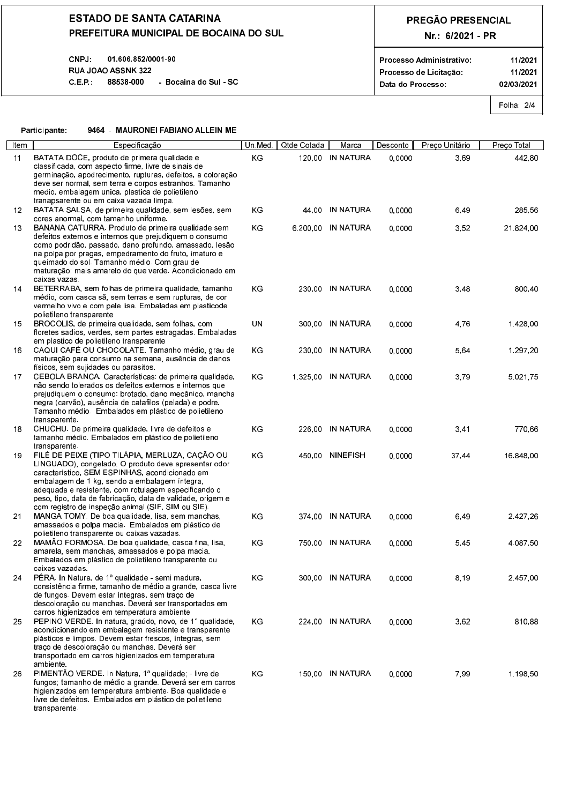## **ESTADO DE SANTA CATARINA** PREFEITURA MUNICIPAL DE BOCAINA DO SUL

#### **CNPJ** 01.606.852/0001-90 **RUA JOAO ASSNK 322** C.E.P.: 88538-000 - Bocaina do Sul - SC

# PREGÃO PRESENCIAL Nr.: 6/2021 - PR

| Processo Administrativo |  |
|-------------------------|--|
| Processo de Licitação   |  |

Data do Processo:

11/2021 11/2021 02/03/2021

Folha: 2/4

#### 9464 - MAURONEI FABIANO ALLEIN ME Participante:

| Item | Específicação                                                                                                   | Un Med    | Qtde Cotada | Marca                 | Desconto | Preço Unitário | Preco Total |
|------|-----------------------------------------------------------------------------------------------------------------|-----------|-------------|-----------------------|----------|----------------|-------------|
| 11   | BATATA DOCE, produto de primera qualidade e                                                                     | KG        |             | 120.00 IN NATURA      | 0.0000   | 3.69           | 442,80      |
|      | classificada, com aspecto firme, livre de sinais de<br>germinação apodrecimento rupturas defeitos a coloração   |           |             |                       |          |                |             |
|      | deve ser normal, sem terra e corpos estranhos. Tamanho                                                          |           |             |                       |          |                |             |
|      | medio, embalagem unica, plastica de polietileno                                                                 |           |             |                       |          |                |             |
|      | tranapsarente ou em caixa vazada limpa.                                                                         |           |             |                       |          |                |             |
| 12   | BATATA SALSA, de primeira qualidade, sem lesões, sem<br>cores anormal, com tamanho uniforme.                    | KG.       | 44.00       | IN NATURA             | 0.0000   | 6.49           | 285.56      |
| 13   | BANANA CATURRA Produto de primeira qualidade sem                                                                | ΚG        |             | 6 200 00 IN NATURA    | 0.0000   | 3,52           | 21.824,00   |
|      | defeitos externos e internos que prejudiquem o consumo                                                          |           |             |                       |          |                |             |
|      | como podridão, passado, dano profundo, amassado, lesão                                                          |           |             |                       |          |                |             |
|      | na polpa por pragas, empedramento do fruto, imaturo e<br>queimado do sol. Tamanho médio. Com grau de            |           |             |                       |          |                |             |
|      | maturação: mais amarelo do que verde. Acondicionado em                                                          |           |             |                       |          |                |             |
|      | caixas vazas                                                                                                    |           |             |                       |          |                |             |
| 14   | BETERRABA, sem folhas de primeira qualidade, tamanho<br>médio, com casca sã, sem terras e sem rupturas, de cor  | KG.       |             | 230.00 IN NATURA      | 0.0000   | 3,48           | 800.40      |
|      | vermelho vivo e com pele lisa. Embaladas em plasticode                                                          |           |             |                       |          |                |             |
|      | polietileno transparente                                                                                        |           |             |                       |          |                |             |
| 15   | BROCOLIS, de primeira qualidade, sem folhas, com                                                                | <b>UN</b> |             | 300.00 IN NATURA      | 0.0000   | 4.76           | 1428.00     |
|      | floretes sadios, verdes, sem partes estragadas. Embaladas<br>em plastico de polietileno transparente            |           |             |                       |          |                |             |
| 16   | CAQUI CAFÉ OU CHOCOLATE. Tamanho médio, grau de                                                                 | ΚG        |             | 230.00 IN NATURA      | 0.0000   | 5.64           | 1.297,20    |
|      | maturação para consumo na semana, ausência de danos                                                             |           |             |                       |          |                |             |
| 17   | físicos, sem sujidades ou parasitos.<br>CEBOLA BRANCA, Características, de primeira qualidade,                  | KG.       |             | 1 3 2 5 0 0 IN NATURA | 0.0000   | 3.79           | 5.021.75    |
|      | não sendo tolerados os defeitos externos e internos que                                                         |           |             |                       |          |                |             |
|      | prejudiquem o consumo, brotado, dano mecânico, mancha                                                           |           |             |                       |          |                |             |
|      | negra (carvão), ausência de catafilos (pelada) e podre.<br>Tamanho médio. Embalados em plástico de polietileno  |           |             |                       |          |                |             |
|      | transparente.                                                                                                   |           |             |                       |          |                |             |
| 18   | CHUCHU. De primeira qualidade, livre de defeitos e                                                              | KG        |             | 226.00 IN NATURA      | 0.0000   | 3,41           | 770,66      |
|      | tamanho médio. Embalados em plástico de polietileno<br>transparente.                                            |           |             |                       |          |                |             |
| 19   | FILÉ DE PEIXE (TIPO TILÁPIA, MERLUZA, CAÇÃO OU                                                                  | KG.       |             | 450.00 NINEFISH       | 0.0000   | 37.44          | 16.848.00   |
|      | LINGUADO), congelado. O produto deve apresentar odor                                                            |           |             |                       |          |                |             |
|      | característico, SEM ESPINHAS, acondicionado em                                                                  |           |             |                       |          |                |             |
|      | embalagem de 1 kg, sendo a embalagem íntegra,<br>adequada e resistente, com rotulagem especificando o           |           |             |                       |          |                |             |
|      | peso, tipo, data de fabricação, data de validade, origem e                                                      |           |             |                       |          |                |             |
|      | com registro de inspeção animal (SIF, SIM ou SIE).                                                              |           |             |                       |          |                |             |
| 21   | MANGA TOMY. De boa qualidade, lisa, sem manchas,<br>amassados e polpa macia. Embalados em plástico de           | KG        |             | 374.00 IN NATURA      | 0.0000   | 6,49           | 2427.26     |
|      | polietileno transparente ou caixas vazadas.                                                                     |           |             |                       |          |                |             |
| 22   | MAMÃO FORMOSA. De boa qualidade, casca fina, lisa,                                                              | KG.       |             | 750.00 IN NATURA      | 0.0000   | 5,45           | 4.087,50    |
|      | amarela, sem manchas, amassados e polpa macia.                                                                  |           |             |                       |          |                |             |
|      | Embalados em plástico de polietileno transparente ou<br>caixas vazadas.                                         |           |             |                       |          |                |             |
| 24   | PÊRA. In Natura, de 1ª qualidade - semi madura,                                                                 | KG.       |             | 300.00 IN NATURA      | 0.0000   | 8,19           | 2457,00     |
|      | consistência firme, tamanho de médio a grande, casca livre                                                      |           |             |                       |          |                |             |
|      | de fungos. Devem estar íntegras, sem traço de<br>descoloração ou manchas. Deverá ser transportados em           |           |             |                       |          |                |             |
|      | carros higienizados em temperatura ambiente                                                                     |           |             |                       |          |                |             |
| 25   | PEPINO VERDE. In natura, graúdo, novo, de 1° qualidade,                                                         | KG        |             | 224,00 IN NATURA      | 0,0000   | 3,62           | 810.88      |
|      | acondicionando em embalagem resistente e transparente<br>plásticos e limpos. Devem estar frescos, íntegras, sem |           |             |                       |          |                |             |
|      | traço de descoloração ou manchas. Deverá ser                                                                    |           |             |                       |          |                |             |
|      | transportado em carros higienizados em temperatura                                                              |           |             |                       |          |                |             |
| 26   | ambiente.<br>PIMENTÃO VERDE. In Natura, 1ª qualidade, - livre de                                                | KG        |             | 150.00 IN NATURA      | 0.0000   | 7,99           | 1 1 9 8 5 0 |
|      | fungos, tamanho de médio a grande. Deverá ser em carros                                                         |           |             |                       |          |                |             |
|      | higienizados em temperatura ambiente. Boa qualidade e                                                           |           |             |                       |          |                |             |
|      | livre de defeitos. Embalados em plástico de polietileno                                                         |           |             |                       |          |                |             |

transparente.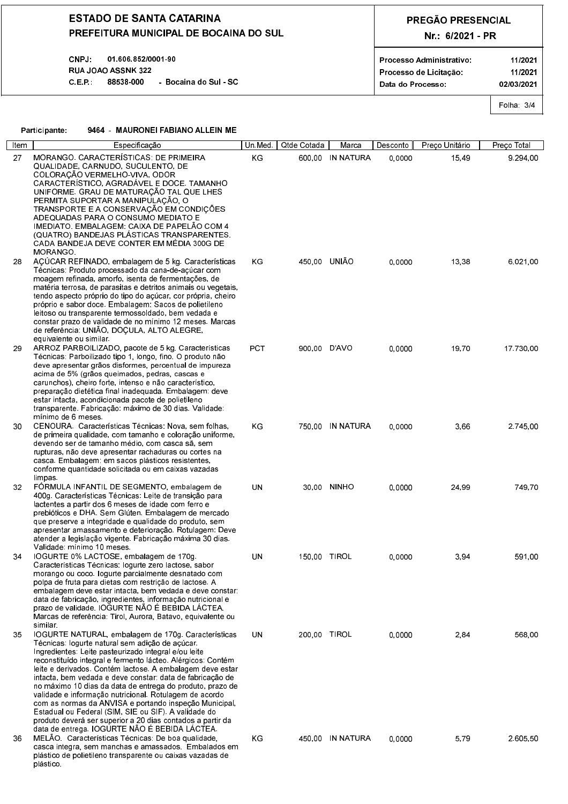## **ESTADO DE SANTA CATARINA** PREFEITURA MUNICIPAL DE BOCAINA DO SUL

#### 01.606.852/0001-90 **CNPJ RUA JOAO ASSNK 322** C.E.P.: 88538-000 - Bocaina do Sul - SC

# PREGÃO PRESENCIAL Nr.: 6/2021 - PR

Data do Processo:

11/2021 11/2021 02/03/2021

Folha: 3/4

| articipante l | 9464 - MAURONEI FABIANO ALLEIN ME |
|---------------|-----------------------------------|

plástico.

|      | Participante:<br>9464 - MAURONEI FABIANO ALLEIN ME                                                                                                                                                                                                                                                                                                                                                                                                                                                                                                                                                                                                                                                            |            |              |                  |          |                |             |
|------|---------------------------------------------------------------------------------------------------------------------------------------------------------------------------------------------------------------------------------------------------------------------------------------------------------------------------------------------------------------------------------------------------------------------------------------------------------------------------------------------------------------------------------------------------------------------------------------------------------------------------------------------------------------------------------------------------------------|------------|--------------|------------------|----------|----------------|-------------|
| Item | Especificação                                                                                                                                                                                                                                                                                                                                                                                                                                                                                                                                                                                                                                                                                                 | Un Med     | Qtde Cotada  | Marca            | Desconto | Preço Unitário | Preço Total |
| 27   | MORANGO CARACTERÍSTICAS: DE PRIMEIRA<br>QUALIDADE CARNUDO SUCULENTO DE<br>COLORAÇÃO VERMELHO-VIVA, ODOR<br>CARACTERÍSTICO, AGRADÁVEL E DOCE. TAMANHO<br>UNIFORME. GRAU DE MATURAÇÃO TAL QUE LHES<br>PERMITA SUPORTAR A MANIPULAÇÃO, O<br>TRANSPORTE E A CONSERVAÇÃO EM CONDIÇÕES<br>ADEQUADAS PARA O CONSUMO MEDIATO E<br>IMEDIATO. EMBALAGEM: CAIXA DE PAPELÃO COM 4<br>(QUATRO) BANDEJAS PLÁSTICAS TRANSPARENTES.<br>CADA BANDEJA DEVE CONTER EM MÉDIA 300G DE<br><b>MORANGO</b>                                                                                                                                                                                                                            | KG         |              | 600,00 IN NATURA | 0.0000   | 15.49          | 9.294.00    |
| 28   | AÇÚCAR REFINADO, embalagem de 5 kg. Características<br>Técnicas: Produto processado da cana-de-açúcar com<br>moagem refinada, amorfo, isenta de fermentações, de<br>matéria terrosa, de parasitas e detritos animais ou vegetais.<br>tendo aspecto próprio do tipo do açúcar, cor própria, cheiro<br>próprio e sabor doce. Embalagem. Sacos de polietileno<br>leitoso ou transparente termossoldado, bem vedada e<br>constar prazo de validade de no mínimo 12 meses. Marcas<br>de referência: UNIÃO, DOÇULA, ALTO ALEGRE,                                                                                                                                                                                    | KG.        | 450.00 UNIÃO |                  | 0.0000   | 13.38          | 6.021.00    |
| 29   | equivalente ou similar.<br>ARROZ PARBOILIZADO, pacote de 5 kg. Características<br>Técnicas Parboilizado tipo 1, longo, fino. O produto não<br>deve apresentar grãos disformes, percentual de impureza<br>acima de 5% (grãos queimados, pedras, cascas e<br>carunchos), cheiro forte, intenso e não característico.<br>preparação dietética final inadequada Embalagem deve<br>estar intacta, acondicionada pacote de polietileno<br>transparente. Fabricação máximo de 30 dias. Validade.<br>mínimo de 6 meses.                                                                                                                                                                                               | <b>PCT</b> | 900.00 D'AVO |                  | 0.0000   | 19,70          | 17 730 00   |
| 30   | CENOURA Características Técnicas Nova, sem folhas,<br>de primeira qualidade, com tamanho e coloração uniforme,<br>devendo ser de tamanho médio, com casca sã, sem<br>rupturas, não deve apresentar rachaduras ou cortes na<br>casca. Embalagem em sacos plásticos resistentes.<br>conforme quantidade solicitada ou em caixas vazadas<br>limpas.                                                                                                                                                                                                                                                                                                                                                              | ΚG         |              | 750.00 IN NATURA | 0.0000   | 3.66           | 2.745.00    |
| 32   | FORMULA INFANTIL DE SEGMENTO, embalagem de<br>400g. Características Técnicas. Leite de transição para<br>lactentes a partir dos 6 meses de idade com ferro e<br>prebióticos e DHA Sem Glúten. Embalagem de mercado<br>que preserve a integridade e qualidade do produto, sem<br>apresentar amassamento e deterioração. Rotulagem: Deve<br>atender a legislação vigente. Fabricação máxima 30 dias.<br>Validade: mínimo 10 meses.                                                                                                                                                                                                                                                                              | UN         |              | 30.00 NINHO      | 0.0000   | 24,99          | 74970       |
| 34   | IOGURTE 0% LACTOSE, embalagem de 170g.<br>Características Técnicas, logurte zero lactose, sabor<br>morango ou coco. logurte parcialmente desnatado com<br>polpa de fruta para dietas com restrição de lactose. A<br>embalagem deve estar intacta, bem vedada e deve constar<br>data de fabricação, ingredientes, informação nutricional e<br>prazo de validade. IOGURTE NÃO É BEBIDA LÁCTEA.<br>Marcas de referência: Tirol, Aurora, Batavo, equivalente ou<br>similar.                                                                                                                                                                                                                                       | UN         | 150,00 TIROL |                  | 0,0000   | 3,94           | 591,00      |
| 35   | IOGURTE NATURAL, embalagem de 170g. Características<br>Técnicas logurte natural sem adição de açúcar<br>Ingredientes. Leite pasteurizado integral e/ou leite<br>reconstituído integral e fermento lácteo. Alérgicos. Contém<br>leite e derivados. Contém lactose. A embalagem deve estar<br>intacta, bem vedada e deve constar, data de fabricação de<br>no máximo 10 días da data de entrega do produto, prazo de<br>validade e informação nutricional. Rotulagem de acordo<br>com as normas da ANVISA e portando inspeção Municipal,<br>Estadual ou Federal (SIM, SIE ou SIF). A validade do<br>produto deverá ser superior a 20 dias contados a partir da<br>data de entrega. IOGURTE NÃO É BEBIDA LÁCTEA. | UN.        | 200.00 TIROL |                  | 0.0000   | 2,84           | 568.00      |
| 36   | MELÃO Características Técnicas: De boa qualidade<br>casca integra, sem manchas e amassados. Embalados em<br>plástico de polietileno transparente ou caixas vazadas de                                                                                                                                                                                                                                                                                                                                                                                                                                                                                                                                         | ΚG         |              | 450.00 IN NATURA | 0.0000   | 5.79           | 2.605.50    |